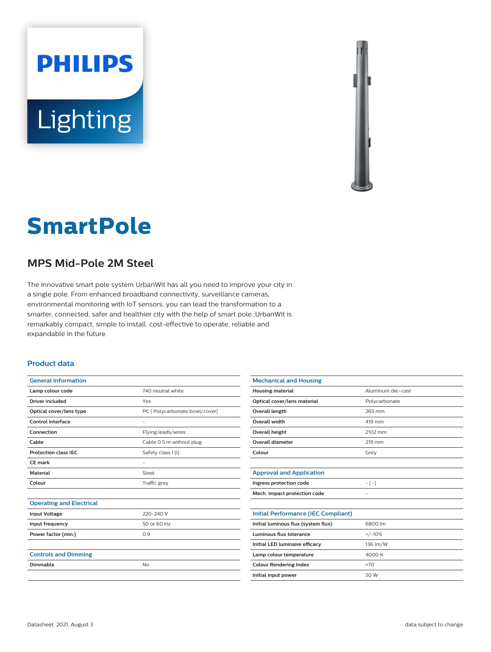



# **SmartPole**

## **MPS Mid-Pole 2M Steel**

The innovative smart pole system UrbanWit has all you need to improve your city in a single pole. From enhanced broadband connectivity, surveillance cameras, environmental monitoring with IoT sensors, you can lead the transformation to a smarter, connected, safer and healthier city with the help of smart pole.;UrbanWit is remarkably compact, simple to install, cost-effective to operate, reliable and expandable in the future.

#### **Product data**

| <b>General Information</b>      |                                |
|---------------------------------|--------------------------------|
| Lamp colour code                | 740 neutral white              |
| Driver included                 | Yes                            |
| Optical cover/lens type         | PC [ Polycarbonate bowl/cover] |
| <b>Control interface</b>        |                                |
| Connection                      | Flying leads/wires             |
| Cable                           | Cable 0.5 m without plug       |
| <b>Protection class IEC</b>     | Safety class I (I)             |
| CE mark                         | $\qquad \qquad -$              |
| <b>Material</b>                 | Steel                          |
| Colour                          | Traffic grey                   |
|                                 |                                |
| <b>Operating and Electrical</b> |                                |
| <b>Input Voltage</b>            | 220-240 V                      |
| Input frequency                 | 50 or 60 Hz                    |
| Power factor (min.)             | 0.9                            |
|                                 |                                |
| <b>Controls and Dimming</b>     |                                |
| Dimmable                        | No                             |
|                                 |                                |

| <b>Mechanical and Housing</b>              |                          |
|--------------------------------------------|--------------------------|
| <b>Housing material</b>                    | Aluminum die-cast        |
| Optical cover/lens material                | Polycarbonate            |
| Overall length                             | 265 mm                   |
| Overall width                              | 419 mm                   |
| <b>Overall height</b>                      | 2102 mm                  |
| <b>Overall diameter</b>                    | 219 mm                   |
| Colour                                     | Grey                     |
|                                            |                          |
| <b>Approval and Application</b>            |                          |
| Ingress protection code                    | $-[-]$                   |
| Mech. impact protection code               | $\overline{\phantom{0}}$ |
|                                            |                          |
| <b>Initial Performance (IEC Compliant)</b> |                          |
| Initial luminous flux (system flux)        | 6800 lm                  |
| Luminous flux tolerance                    | $+/-10%$                 |
| Initial LED luminaire efficacy             | 136 lm/W                 |
| Lamp colour temperature                    | 4000 K                   |
| <b>Colour Rendering Index</b>              | >70                      |
| Initial input power                        | 50 W                     |
|                                            |                          |